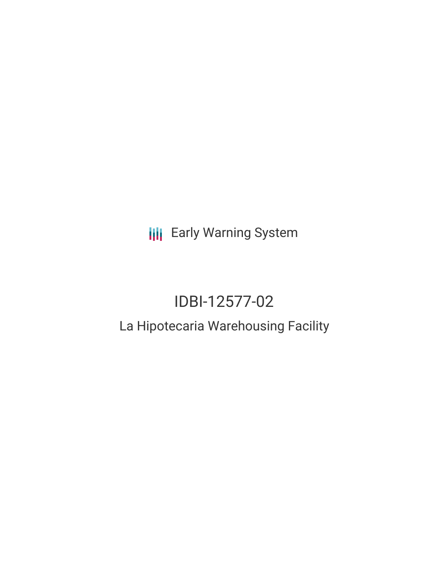**III** Early Warning System

# IDBI-12577-02

# La Hipotecaria Warehousing Facility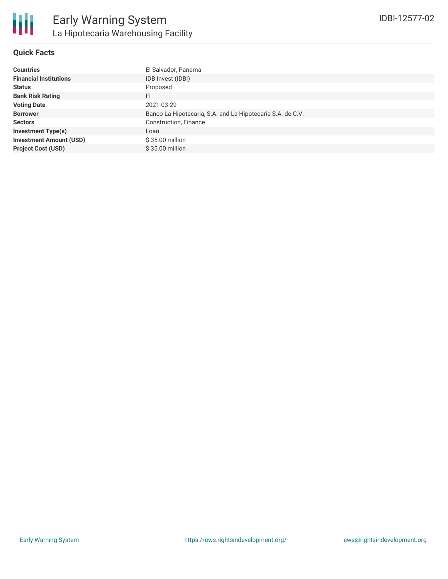

#### **Quick Facts**

| <b>Countries</b>               | El Salvador, Panama                                        |
|--------------------------------|------------------------------------------------------------|
| <b>Financial Institutions</b>  | IDB Invest (IDBI)                                          |
| <b>Status</b>                  | Proposed                                                   |
| <b>Bank Risk Rating</b>        | FL.                                                        |
| <b>Voting Date</b>             | 2021-03-29                                                 |
| <b>Borrower</b>                | Banco La Hipotecaria, S.A. and La Hipotecaria S.A. de C.V. |
| <b>Sectors</b>                 | Construction, Finance                                      |
| <b>Investment Type(s)</b>      | Loan                                                       |
| <b>Investment Amount (USD)</b> | \$35.00 million                                            |
| <b>Project Cost (USD)</b>      | $$35.00$ million                                           |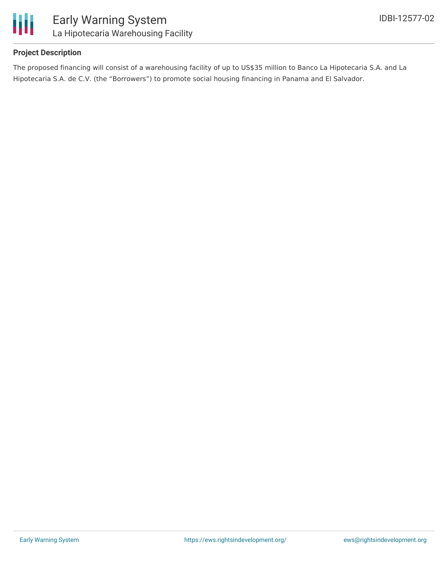

# **Project Description**

The proposed financing will consist of a warehousing facility of up to US\$35 million to Banco La Hipotecaria S.A. and La Hipotecaria S.A. de C.V. (the "Borrowers") to promote social housing financing in Panama and El Salvador.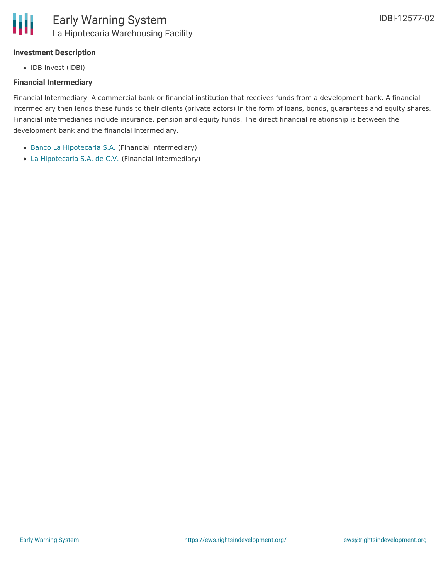

# **Investment Description**

• IDB Invest (IDBI)

#### **Financial Intermediary**

Financial Intermediary: A commercial bank or financial institution that receives funds from a development bank. A financial intermediary then lends these funds to their clients (private actors) in the form of loans, bonds, guarantees and equity shares. Financial intermediaries include insurance, pension and equity funds. The direct financial relationship is between the development bank and the financial intermediary.

- Banco La [Hipotecaria](file:///actor/3255/) S.A. (Financial Intermediary)
- La [Hipotecaria](file:///actor/3828/) S.A. de C.V. (Financial Intermediary)